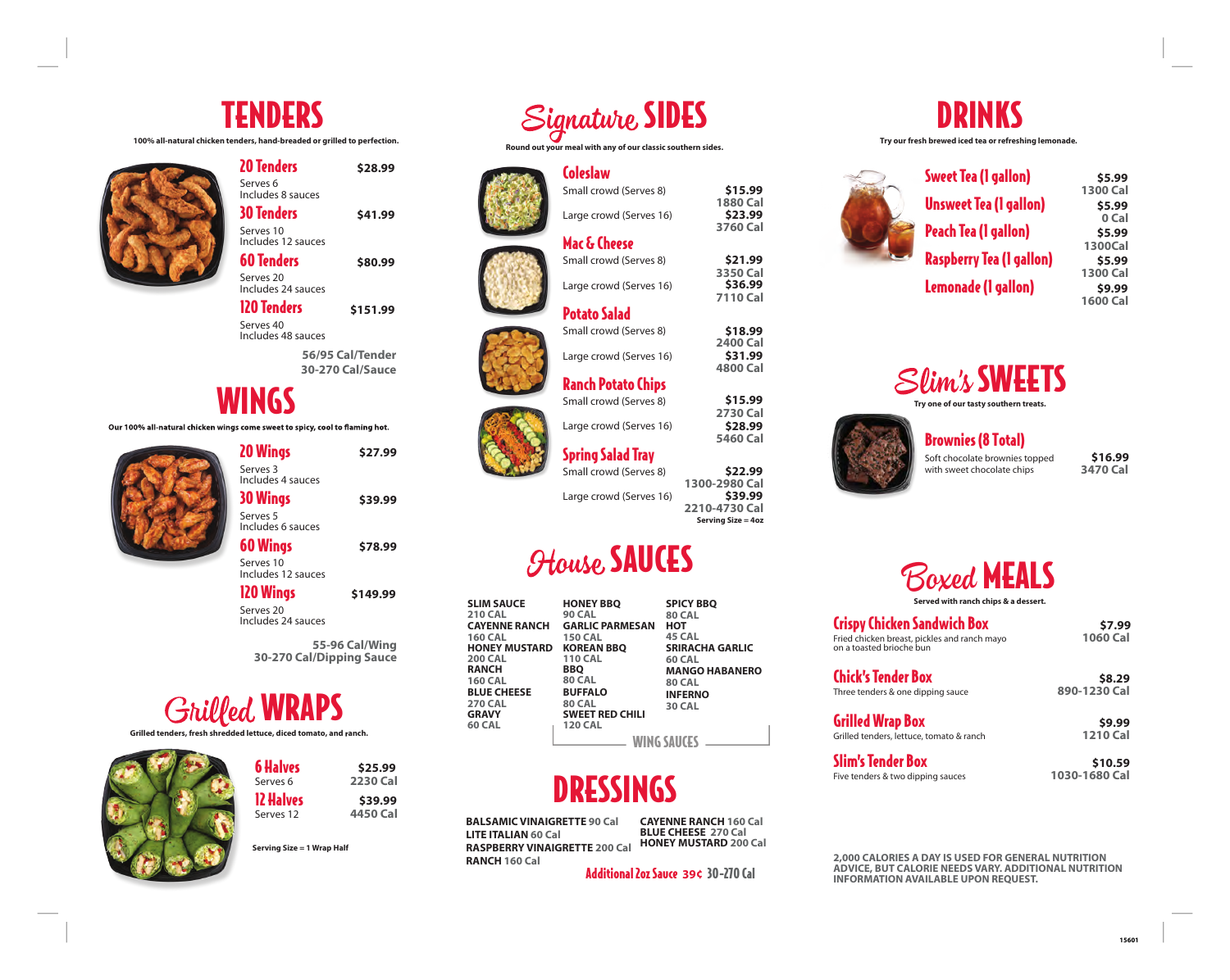## TENDERS

**100% all-natural chicken tenders, hand-breaded or grilled to perfection.** 



| <b>20 Tenders</b>                          | \$28.99  |
|--------------------------------------------|----------|
| Serves <sub>6</sub><br>Includes 8 sauces   |          |
| <b>30 Tenders</b>                          | \$41.99  |
| Serves 10<br>Includes 12 sauces            |          |
| <b>60 Tenders</b>                          | \$80.99  |
| Serves <sub>20</sub><br>Includes 24 sauces |          |
| <b>120 Tenders</b>                         | \$151.99 |

**56/95 Cal/Tender**  Serves 40 Includes 48 sauces

**30-270 Cal/Sauce** 

**\$78.99**

#### WINGS

Our 100% all-natural chicken wings come sweet to spicy, cool to flaming hot.

20 Wings Serves 3 Includes 4 sauces 30 Wings Serves 5 **\$27.99 \$39.99**

Includes 6 sauces 60 Wings

Includes 12 sauces 120 Wings Serves 20 **\$149.99**

Includes 24 sauces

**55-96 Cal/Wing 30-270 Cal/Dipping Sauce** 

# **Grilled WRAPS**

Serves 10

**Grilled tenders, fresh shredded lettuce, diced tomato, and ranch.** 



| 6 Halves  | \$25.99  |
|-----------|----------|
| Serves 6  | 2230 Cal |
| 12 Halves | \$39.99  |
| Serves 12 | 4450 Cal |
|           |          |

**Serving Size = 1 Wrap Half** 



**Round out your meal with any of our classic southern sides.** 

Small crowd (Serves 8)

Large crowd (Serves 16)

Large crowd (Serves 16)

Large crowd (Serves 16)

Ranch Potato Chips

Mac & Cheese Small crowd (Serves 8)

Potato Salad Small crowd (Serves 8)

Coleslaw













Spring Salad Tray Small crowd (Serves 8)

**2210-4730 Cal Serving Size = 4oz** 

## *<u>House SAUCES</u>*

| <b>SLIM SAUCE</b><br><b>210 CAL</b><br><b>CAYENNE RANCH</b><br><b>160 CAL</b><br>HONEY MUSTARD<br><b>200 CAL</b><br><b>RANCH</b><br><b>160 CAL</b><br><b>BLUE CHEESE</b><br><b>270 CAL</b><br><b>GRAVY</b><br>60 CAL | <b>HONEY BBQ</b><br><b>90 CAL</b><br><b>GARLIC PARMESAN</b><br><b>150 CAL</b><br><b>KOREAN BBQ</b><br><b>110 CAL</b><br><b>BBO</b><br><b>80 CAL</b><br><b>BUFFALO</b><br><b>80 CAL</b><br><b>SWEET RED CHILI</b><br><b>120 CAL</b> | <b>SPICY BBQ</b><br><b>80 CAL</b><br>нот<br>45 CAL<br><b>SRIRACHA GARLIC</b><br><b>60 CAL</b><br><b>MANGO HABANERO</b><br><b>80 CAL</b><br><b>INFERNO</b><br><b>30 CAL</b><br>WING SAUCES |
|----------------------------------------------------------------------------------------------------------------------------------------------------------------------------------------------------------------------|------------------------------------------------------------------------------------------------------------------------------------------------------------------------------------------------------------------------------------|-------------------------------------------------------------------------------------------------------------------------------------------------------------------------------------------|
|                                                                                                                                                                                                                      |                                                                                                                                                                                                                                    |                                                                                                                                                                                           |

# DRESSINGS

**BALSAMIC VINAIGRETTE 90 Cal LITE ITALIAN 60 Cal RASPBERRY VINAIGRETTE 200 Cal RANCH 160 Cal**

**CAYENNE RANCH 160 Cal BLUE CHEESE 270 Cal HONEY MUSTARD 200 Cal** 

Additional 2oz Sauce 30-270 Cal **39¢**



**Try our fresh brewed iced tea or refreshing lemonade.** 



|     | \$5.99<br>1300 Cal |
|-----|--------------------|
| ı)  | \$5.99             |
|     | 0 Cal              |
|     | \$5.99             |
|     | 1300Cal            |
| )n) | \$5.99             |
|     | 1300 Cal           |
|     | \$9.99             |
|     | 1600 Cal           |
|     |                    |



**Try one of our tasty southern treats.**



#### Brownies (8 Total)

Soft chocolate brownies topped with sweet chocolate chips

**3470 Cal \$16.99**



Crispy Chicken Sandwich Box Fried chicken breast, pickles and ranch mayo **1060 Cal**  on a toasted brioche bun

**\$7.99**

**\$8.29**

**\$9.99**

#### Chick's Tender Box Three tenders & one dipping sauce **890-1230 Cal**

Grilled Wrap Box

Grilled tenders, lettuce, tomato & ranch **1210 Cal**

Slim's Tender Box Five tenders & two dipping sauces **1030-1680 Cal** 

**\$10.59**

#### **2,000 CALORIES A DAY IS USED FOR GENERAL NUTRITION ADVICE, BUT CALORIE NEEDS VARY. ADDITIONAL NUTRITION INFORMATION AVAILABLE UPON REQUEST.**



**1300-2980 Cal**  Large crowd (Serves 16)



**15601**



**1880 Cal** 

**\$15.99 \$23.99**

**3760 Cal** 

**3350 Cal** 

**\$21.99 \$36.99**

**7110 Cal** 

**2400 Cal** 

**\$18.99 \$31.99**

**4800 Cal**

**2730 Cal** 

**\$15.99 \$28.99**

**5460 Cal** 

**\$22.99 \$39.99**